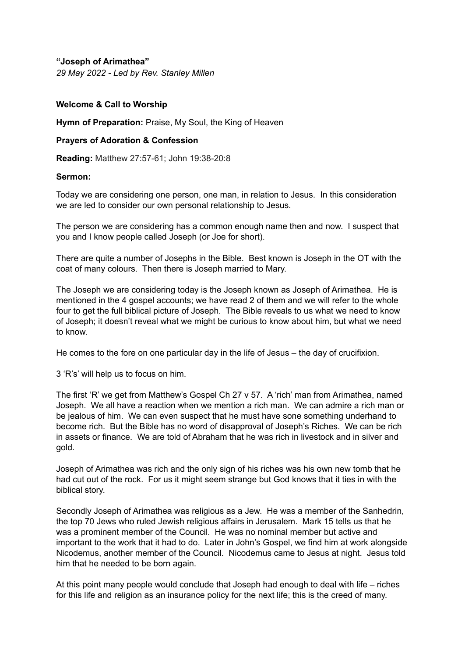**"Joseph of Arimathea"** *29 May 2022 - Led by Rev. Stanley Millen*

## **Welcome & Call to Worship**

**Hymn of Preparation:** Praise, My Soul, the King of Heaven

## **Prayers of Adoration & Confession**

**Reading:** Matthew 27:57-61; John 19:38-20:8

## **Sermon:**

Today we are considering one person, one man, in relation to Jesus. In this consideration we are led to consider our own personal relationship to Jesus.

The person we are considering has a common enough name then and now. I suspect that you and I know people called Joseph (or Joe for short).

There are quite a number of Josephs in the Bible. Best known is Joseph in the OT with the coat of many colours. Then there is Joseph married to Mary.

The Joseph we are considering today is the Joseph known as Joseph of Arimathea. He is mentioned in the 4 gospel accounts; we have read 2 of them and we will refer to the whole four to get the full biblical picture of Joseph. The Bible reveals to us what we need to know of Joseph; it doesn't reveal what we might be curious to know about him, but what we need to know.

He comes to the fore on one particular day in the life of Jesus – the day of crucifixion.

3 'R's' will help us to focus on him.

The first 'R' we get from Matthew's Gospel Ch 27 v 57. A 'rich' man from Arimathea, named Joseph. We all have a reaction when we mention a rich man. We can admire a rich man or be jealous of him. We can even suspect that he must have sone something underhand to become rich. But the Bible has no word of disapproval of Joseph's Riches. We can be rich in assets or finance. We are told of Abraham that he was rich in livestock and in silver and gold.

Joseph of Arimathea was rich and the only sign of his riches was his own new tomb that he had cut out of the rock. For us it might seem strange but God knows that it ties in with the biblical story.

Secondly Joseph of Arimathea was religious as a Jew. He was a member of the Sanhedrin, the top 70 Jews who ruled Jewish religious affairs in Jerusalem. Mark 15 tells us that he was a prominent member of the Council. He was no nominal member but active and important to the work that it had to do. Later in John's Gospel, we find him at work alongside Nicodemus, another member of the Council. Nicodemus came to Jesus at night. Jesus told him that he needed to be born again.

At this point many people would conclude that Joseph had enough to deal with life – riches for this life and religion as an insurance policy for the next life; this is the creed of many.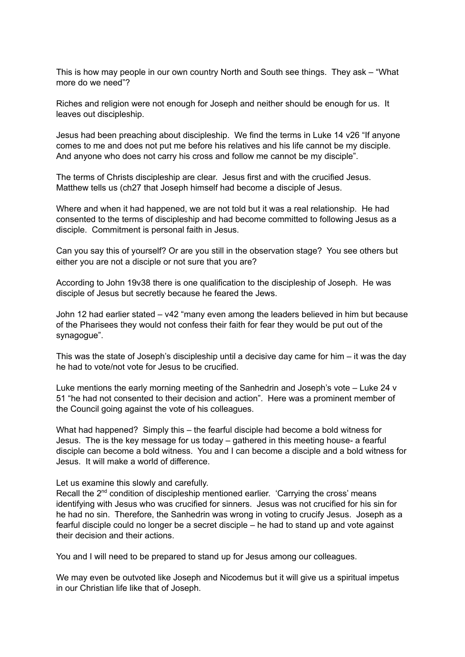This is how may people in our own country North and South see things. They ask – "What more do we need"?

Riches and religion were not enough for Joseph and neither should be enough for us. It leaves out discipleship.

Jesus had been preaching about discipleship. We find the terms in Luke 14 v26 "If anyone comes to me and does not put me before his relatives and his life cannot be my disciple. And anyone who does not carry his cross and follow me cannot be my disciple".

The terms of Christs discipleship are clear. Jesus first and with the crucified Jesus. Matthew tells us (ch27 that Joseph himself had become a disciple of Jesus.

Where and when it had happened, we are not told but it was a real relationship. He had consented to the terms of discipleship and had become committed to following Jesus as a disciple. Commitment is personal faith in Jesus.

Can you say this of yourself? Or are you still in the observation stage? You see others but either you are not a disciple or not sure that you are?

According to John 19v38 there is one qualification to the discipleship of Joseph. He was disciple of Jesus but secretly because he feared the Jews.

John 12 had earlier stated – v42 "many even among the leaders believed in him but because of the Pharisees they would not confess their faith for fear they would be put out of the synagogue".

This was the state of Joseph's discipleship until a decisive day came for him  $-$  it was the day he had to vote/not vote for Jesus to be crucified.

Luke mentions the early morning meeting of the Sanhedrin and Joseph's vote – Luke 24 v 51 "he had not consented to their decision and action". Here was a prominent member of the Council going against the vote of his colleagues.

What had happened? Simply this – the fearful disciple had become a bold witness for Jesus. The is the key message for us today – gathered in this meeting house- a fearful disciple can become a bold witness. You and I can become a disciple and a bold witness for Jesus. It will make a world of difference.

Let us examine this slowly and carefully.

Recall the 2<sup>nd</sup> condition of discipleship mentioned earlier. 'Carrying the cross' means identifying with Jesus who was crucified for sinners. Jesus was not crucified for his sin for he had no sin. Therefore, the Sanhedrin was wrong in voting to crucify Jesus. Joseph as a fearful disciple could no longer be a secret disciple – he had to stand up and vote against their decision and their actions.

You and I will need to be prepared to stand up for Jesus among our colleagues.

We may even be outvoted like Joseph and Nicodemus but it will give us a spiritual impetus in our Christian life like that of Joseph.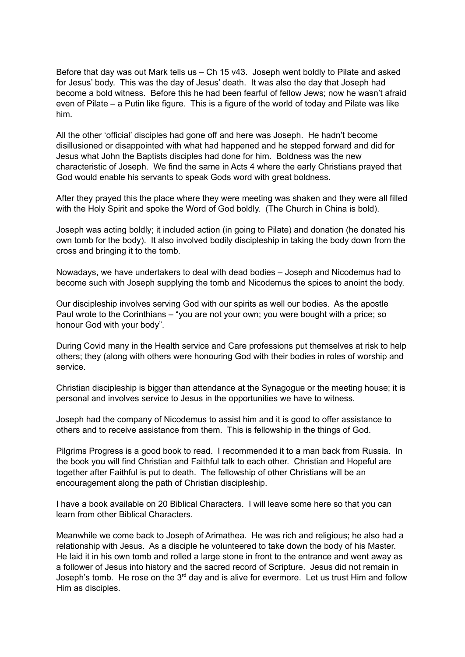Before that day was out Mark tells us – Ch 15 v43. Joseph went boldly to Pilate and asked for Jesus' body. This was the day of Jesus' death. It was also the day that Joseph had become a bold witness. Before this he had been fearful of fellow Jews; now he wasn't afraid even of Pilate – a Putin like figure. This is a figure of the world of today and Pilate was like him.

All the other 'official' disciples had gone off and here was Joseph. He hadn't become disillusioned or disappointed with what had happened and he stepped forward and did for Jesus what John the Baptists disciples had done for him. Boldness was the new characteristic of Joseph. We find the same in Acts 4 where the early Christians prayed that God would enable his servants to speak Gods word with great boldness.

After they prayed this the place where they were meeting was shaken and they were all filled with the Holy Spirit and spoke the Word of God boldly. (The Church in China is bold).

Joseph was acting boldly; it included action (in going to Pilate) and donation (he donated his own tomb for the body). It also involved bodily discipleship in taking the body down from the cross and bringing it to the tomb.

Nowadays, we have undertakers to deal with dead bodies – Joseph and Nicodemus had to become such with Joseph supplying the tomb and Nicodemus the spices to anoint the body.

Our discipleship involves serving God with our spirits as well our bodies. As the apostle Paul wrote to the Corinthians – "you are not your own; you were bought with a price; so honour God with your body".

During Covid many in the Health service and Care professions put themselves at risk to help others; they (along with others were honouring God with their bodies in roles of worship and service.

Christian discipleship is bigger than attendance at the Synagogue or the meeting house; it is personal and involves service to Jesus in the opportunities we have to witness.

Joseph had the company of Nicodemus to assist him and it is good to offer assistance to others and to receive assistance from them. This is fellowship in the things of God.

Pilgrims Progress is a good book to read. I recommended it to a man back from Russia. In the book you will find Christian and Faithful talk to each other. Christian and Hopeful are together after Faithful is put to death. The fellowship of other Christians will be an encouragement along the path of Christian discipleship.

I have a book available on 20 Biblical Characters. I will leave some here so that you can learn from other Biblical Characters.

Meanwhile we come back to Joseph of Arimathea. He was rich and religious; he also had a relationship with Jesus. As a disciple he volunteered to take down the body of his Master. He laid it in his own tomb and rolled a large stone in front to the entrance and went away as a follower of Jesus into history and the sacred record of Scripture. Jesus did not remain in Joseph's tomb. He rose on the  $3<sup>rd</sup>$  day and is alive for evermore. Let us trust Him and follow Him as disciples.